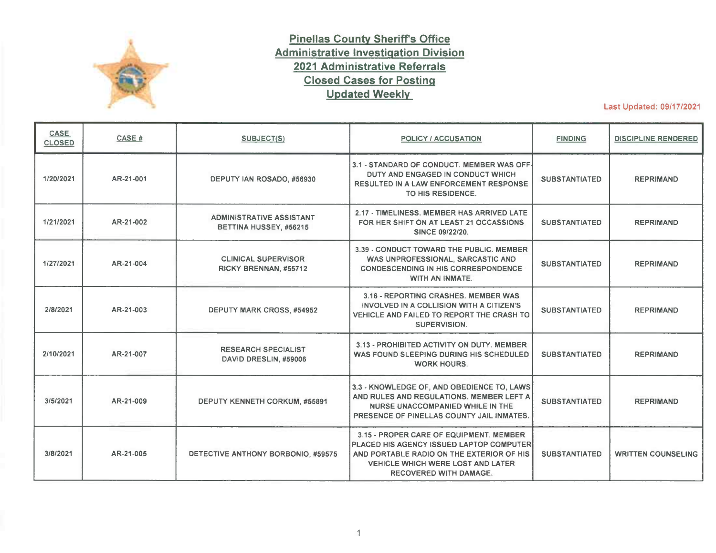

## **Pinellas County Sheritrs Office Administrative Investigation Division 2021 Administrative Referrals Closed Cases for Posting Updated Weekly**

Last Updated: 09/17/2021

| <b>CASE</b><br><b>CLOSED</b> | CASE#     | SUBJECT(S)                                                | <b>POLICY / ACCUSATION</b>                                                                                                                                                                                    | <b>FINDING</b>       | <b>DISCIPLINE RENDERED</b> |
|------------------------------|-----------|-----------------------------------------------------------|---------------------------------------------------------------------------------------------------------------------------------------------------------------------------------------------------------------|----------------------|----------------------------|
| 1/20/2021                    | AR-21-001 | DEPUTY IAN ROSADO, #56930                                 | 3.1 - STANDARD OF CONDUCT. MEMBER WAS OFF-<br>DUTY AND ENGAGED IN CONDUCT WHICH<br><b>RESULTED IN A LAW ENFORCEMENT RESPONSE</b><br>TO HIS RESIDENCE.                                                         | <b>SUBSTANTIATED</b> | <b>REPRIMAND</b>           |
| 1/21/2021                    | AR-21-002 | <b>ADMINISTRATIVE ASSISTANT</b><br>BETTINA HUSSEY, #56215 | 2.17 - TIMELINESS, MEMBER HAS ARRIVED LATE<br>FOR HER SHIFT ON AT LEAST 21 OCCASSIONS<br><b>SINCE 09/22/20.</b>                                                                                               | <b>SUBSTANTIATED</b> | <b>REPRIMAND</b>           |
| 1/27/2021                    | AR-21-004 | <b>CLINICAL SUPERVISOR</b><br>RICKY BRENNAN, #55712       | 3.39 - CONDUCT TOWARD THE PUBLIC. MEMBER<br>WAS UNPROFESSIONAL, SARCASTIC AND<br><b>CONDESCENDING IN HIS CORRESPONDENCE</b><br>WITH AN INMATE.                                                                | <b>SUBSTANTIATED</b> | <b>REPRIMAND</b>           |
| 2/8/2021                     | AR-21-003 | <b>DEPUTY MARK CROSS, #54952</b>                          | 3.16 - REPORTING CRASHES, MEMBER WAS<br>INVOLVED IN A COLLISION WITH A CITIZEN'S<br>VEHICLE AND FAILED TO REPORT THE CRASH TO<br>SUPERVISION.                                                                 | <b>SUBSTANTIATED</b> | <b>REPRIMAND</b>           |
| 2/10/2021                    | AR-21-007 | <b>RESEARCH SPECIALIST</b><br>DAVID DRESLIN, #59006       | 3.13 - PROHIBITED ACTIVITY ON DUTY. MEMBER<br>WAS FOUND SLEEPING DURING HIS SCHEDULED<br><b>WORK HOURS.</b>                                                                                                   | <b>SUBSTANTIATED</b> | <b>REPRIMAND</b>           |
| 3/5/2021                     | AR-21-009 | <b>DEPUTY KENNETH CORKUM, #55891</b>                      | 3.3 - KNOWLEDGE OF, AND OBEDIENCE TO, LAWS<br>AND RULES AND REGULATIONS. MEMBER LEFT A<br>NURSE UNACCOMPANIED WHILE IN THE<br>PRESENCE OF PINELLAS COUNTY JAIL INMATES.                                       | <b>SUBSTANTIATED</b> | <b>REPRIMAND</b>           |
| 3/8/2021                     | AR-21-005 | DETECTIVE ANTHONY BORBONIO, #59575                        | 3.15 - PROPER CARE OF EQUIPMENT. MEMBER<br>PLACED HIS AGENCY ISSUED LAPTOP COMPUTER<br>AND PORTABLE RADIO ON THE EXTERIOR OF HIS<br><b>VEHICLE WHICH WERE LOST AND LATER</b><br><b>RECOVERED WITH DAMAGE.</b> | <b>SUBSTANTIATED</b> | <b>WRITTEN COUNSELING</b>  |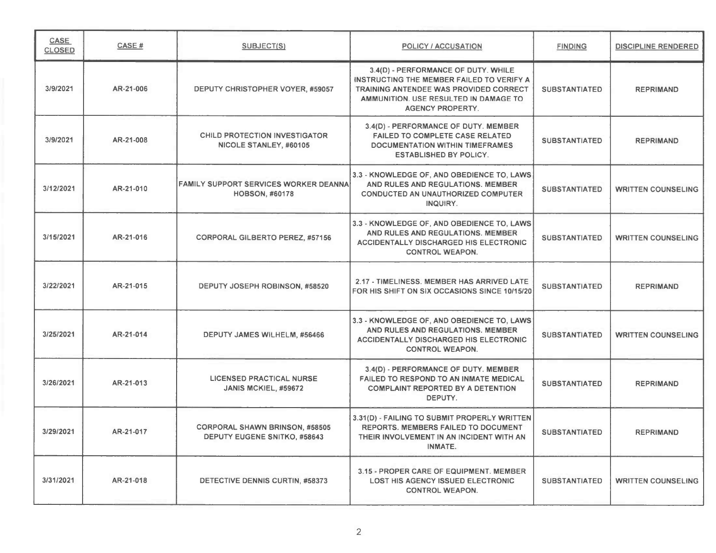| <b>CASE</b><br><b>CLOSED</b> | CASE#     | <b>SUBJECT(S)</b>                                                     | <b>POLICY / ACCUSATION</b>                                                                                                                                                                            | <b>FINDING</b>       | <b>DISCIPLINE RENDERED</b> |
|------------------------------|-----------|-----------------------------------------------------------------------|-------------------------------------------------------------------------------------------------------------------------------------------------------------------------------------------------------|----------------------|----------------------------|
| 3/9/2021                     | AR-21-006 | DEPUTY CHRISTOPHER VOYER, #59057                                      | 3.4(D) - PERFORMANCE OF DUTY. WHILE<br><b>INSTRUCTING THE MEMBER FAILED TO VERIFY A</b><br>TRAINING ANTENDEE WAS PROVIDED CORRECT<br>AMMUNITION. USE RESULTED IN DAMAGE TO<br><b>AGENCY PROPERTY.</b> | <b>SUBSTANTIATED</b> | <b>REPRIMAND</b>           |
| 3/9/2021                     | AR-21-008 | <b>CHILD PROTECTION INVESTIGATOR</b><br>NICOLE STANLEY, #60105        | 3.4(D) - PERFORMANCE OF DUTY. MEMBER<br><b>FAILED TO COMPLETE CASE RELATED</b><br><b>DOCUMENTATION WITHIN TIMEFRAMES</b><br><b>ESTABLISHED BY POLICY.</b>                                             | <b>SUBSTANTIATED</b> | <b>REPRIMAND</b>           |
| 3/12/2021                    | AR-21-010 | <b>FAMILY SUPPORT SERVICES WORKER DEANNA</b><br><b>HOBSON, #60178</b> | 3.3 - KNOWLEDGE OF, AND OBEDIENCE TO, LAWS<br>AND RULES AND REGULATIONS. MEMBER<br><b>CONDUCTED AN UNAUTHORIZED COMPUTER</b><br>INQUIRY.                                                              | <b>SUBSTANTIATED</b> | <b>WRITTEN COUNSELING</b>  |
| 3/15/2021                    | AR-21-016 | <b>CORPORAL GILBERTO PEREZ, #57156</b>                                | 3.3 - KNOWLEDGE OF, AND OBEDIENCE TO, LAWS<br>AND RULES AND REGULATIONS. MEMBER<br>ACCIDENTALLY DISCHARGED HIS ELECTRONIC<br><b>CONTROL WEAPON.</b>                                                   | <b>SUBSTANTIATED</b> | <b>WRITTEN COUNSELING</b>  |
| 3/22/2021                    | AR-21-015 | DEPUTY JOSEPH ROBINSON, #58520                                        | 2.17 - TIMELINESS. MEMBER HAS ARRIVED LATE<br>FOR HIS SHIFT ON SIX OCCASIONS SINCE 10/15/20                                                                                                           | <b>SUBSTANTIATED</b> | <b>REPRIMAND</b>           |
| 3/25/2021                    | AR-21-014 | DEPUTY JAMES WILHELM, #56466                                          | 3.3 - KNOWLEDGE OF, AND OBEDIENCE TO, LAWS<br>AND RULES AND REGULATIONS. MEMBER<br><b>ACCIDENTALLY DISCHARGED HIS ELECTRONIC</b><br><b>CONTROL WEAPON.</b>                                            | <b>SUBSTANTIATED</b> | <b>WRITTEN COUNSELING</b>  |
| 3/26/2021                    | AR-21-013 | <b>LICENSED PRACTICAL NURSE</b><br>JANIS MCKIEL, #59672               | 3.4(D) - PERFORMANCE OF DUTY. MEMBER<br><b>FAILED TO RESPOND TO AN INMATE MEDICAL</b><br><b>COMPLAINT REPORTED BY A DETENTION</b><br>DEPUTY.                                                          | <b>SUBSTANTIATED</b> | <b>REPRIMAND</b>           |
| 3/29/2021                    | AR-21-017 | <b>CORPORAL SHAWN BRINSON, #58505</b><br>DEPUTY EUGENE SNITKO, #58643 | 3.31(D) - FAILING TO SUBMIT PROPERLY WRITTEN<br><b>REPORTS. MEMBERS FAILED TO DOCUMENT</b><br>THEIR INVOLVEMENT IN AN INCIDENT WITH AN<br>INMATE.                                                     | <b>SUBSTANTIATED</b> | <b>REPRIMAND</b>           |
| 3/31/2021                    | AR-21-018 | DETECTIVE DENNIS CURTIN, #58373                                       | 3.15 - PROPER CARE OF EQUIPMENT. MEMBER<br><b>LOST HIS AGENCY ISSUED ELECTRONIC</b><br><b>CONTROL WEAPON.</b>                                                                                         | <b>SUBSTANTIATED</b> | <b>WRITTEN COUNSELING</b>  |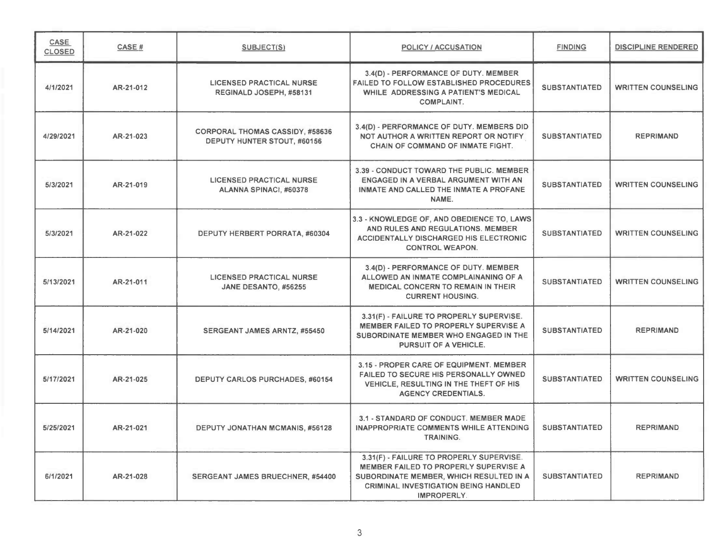| <b>CASE</b><br><b>CLOSED</b> | CASE#     | SUBJECT(S)                                                            | <b>POLICY / ACCUSATION</b>                                                                                                                                                                        | <b>FINDING</b>       | <b>DISCIPLINE RENDERED</b> |
|------------------------------|-----------|-----------------------------------------------------------------------|---------------------------------------------------------------------------------------------------------------------------------------------------------------------------------------------------|----------------------|----------------------------|
| 4/1/2021                     | AR-21-012 | <b>LICENSED PRACTICAL NURSE</b><br>REGINALD JOSEPH, #58131            | 3.4(D) - PERFORMANCE OF DUTY. MEMBER<br><b>FAILED TO FOLLOW ESTABLISHED PROCEDURES</b><br>WHILE ADDRESSING A PATIENT'S MEDICAL<br><b>COMPLAINT.</b>                                               | <b>SUBSTANTIATED</b> | <b>WRITTEN COUNSELING</b>  |
| 4/29/2021                    | AR-21-023 | <b>CORPORAL THOMAS CASSIDY, #58636</b><br>DEPUTY HUNTER STOUT, #60156 | 3.4(D) - PERFORMANCE OF DUTY. MEMBERS DID<br>NOT AUTHOR A WRITTEN REPORT OR NOTIFY<br>CHAIN OF COMMAND OF INMATE FIGHT.                                                                           | <b>SUBSTANTIATED</b> | <b>REPRIMAND</b>           |
| 5/3/2021                     | AR-21-019 | <b>LICENSED PRACTICAL NURSE</b><br>ALANNA SPINACI, #60378             | 3.39 - CONDUCT TOWARD THE PUBLIC. MEMBER<br>ENGAGED IN A VERBAL ARGUMENT WITH AN<br>INMATE AND CALLED THE INMATE A PROFANE<br>NAME.                                                               | <b>SUBSTANTIATED</b> | <b>WRITTEN COUNSELING</b>  |
| 5/3/2021                     | AR-21-022 | DEPUTY HERBERT PORRATA, #60304                                        | 3.3 - KNOWLEDGE OF, AND OBEDIENCE TO, LAWS<br>AND RULES AND REGULATIONS. MEMBER<br>ACCIDENTALLY DISCHARGED HIS ELECTRONIC<br><b>CONTROL WEAPON.</b>                                               | <b>SUBSTANTIATED</b> | <b>WRITTEN COUNSELING</b>  |
| 5/13/2021                    | AR-21-011 | <b>LICENSED PRACTICAL NURSE</b><br>JANE DESANTO, #56255               | 3.4(D) - PERFORMANCE OF DUTY. MEMBER<br>ALLOWED AN INMATE COMPLAINANING OF A<br><b>MEDICAL CONCERN TO REMAIN IN THEIR</b><br><b>CURRENT HOUSING.</b>                                              | <b>SUBSTANTIATED</b> | <b>WRITTEN COUNSELING</b>  |
| 5/14/2021                    | AR-21-020 | SERGEANT JAMES ARNTZ, #55450                                          | 3.31(F) - FAILURE TO PROPERLY SUPERVISE.<br>MEMBER FAILED TO PROPERLY SUPERVISE A<br>SUBORDINATE MEMBER WHO ENGAGED IN THE<br>PURSUIT OF A VEHICLE.                                               | <b>SUBSTANTIATED</b> | <b>REPRIMAND</b>           |
| 5/17/2021                    | AR-21-025 | <b>DEPUTY CARLOS PURCHADES, #60154</b>                                | 3.15 - PROPER CARE OF EQUIPMENT. MEMBER<br>FAILED TO SECURE HIS PERSONALLY OWNED<br>VEHICLE, RESULTING IN THE THEFT OF HIS<br><b>AGENCY CREDENTIALS.</b>                                          | <b>SUBSTANTIATED</b> | <b>WRITTEN COUNSELING</b>  |
| 5/25/2021                    | AR-21-021 | <b>DEPUTY JONATHAN MCMANIS, #56128</b>                                | 3.1 - STANDARD OF CONDUCT. MEMBER MADE<br>INAPPROPRIATE COMMENTS WHILE ATTENDING<br><b>TRAINING.</b>                                                                                              | <b>SUBSTANTIATED</b> | <b>REPRIMAND</b>           |
| 6/1/2021                     | AR-21-028 | SERGEANT JAMES BRUECHNER, #54400                                      | 3.31(F) - FAILURE TO PROPERLY SUPERVISE.<br>MEMBER FAILED TO PROPERLY SUPERVISE A<br>SUBORDINATE MEMBER, WHICH RESULTED IN A<br><b>CRIMINAL INVESTIGATION BEING HANDLED</b><br><b>IMPROPERLY.</b> | <b>SUBSTANTIATED</b> | <b>REPRIMAND</b>           |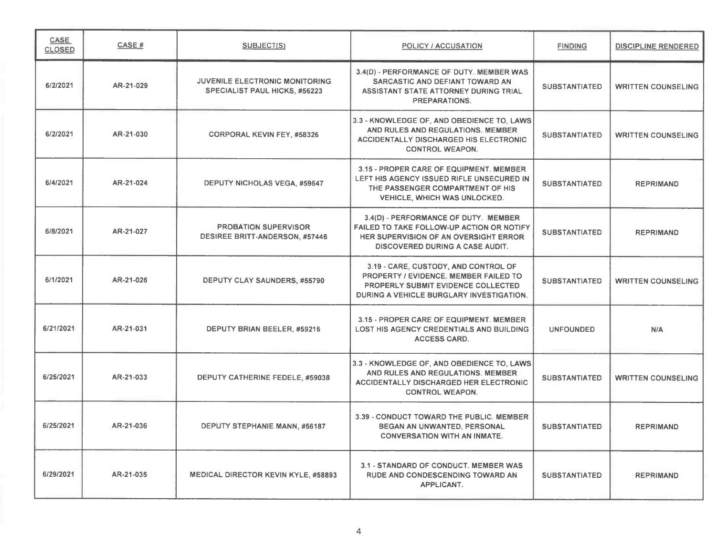| CASE<br><b>CLOSED</b> | CASE#     | SUBJECT(S)                                                           | POLICY / ACCUSATION                                                                                                                                             | <b>FINDING</b>       | <b>DISCIPLINE RENDERED</b> |
|-----------------------|-----------|----------------------------------------------------------------------|-----------------------------------------------------------------------------------------------------------------------------------------------------------------|----------------------|----------------------------|
| 6/2/2021              | AR-21-029 | JUVENILE ELECTRONIC MONITORING<br>SPECIALIST PAUL HICKS, #56223      | 3.4(D) - PERFORMANCE OF DUTY. MEMBER WAS<br>SARCASTIC AND DEFIANT TOWARD AN<br>ASSISTANT STATE ATTORNEY DURING TRIAL<br><b>PREPARATIONS.</b>                    | <b>SUBSTANTIATED</b> | <b>WRITTEN COUNSELING</b>  |
| 6/2/2021              | AR-21-030 | <b>CORPORAL KEVIN FEY, #58326</b>                                    | 3.3 - KNOWLEDGE OF, AND OBEDIENCE TO, LAWS<br>AND RULES AND REGULATIONS. MEMBER<br><b>ACCIDENTALLY DISCHARGED HIS ELECTRONIC</b><br><b>CONTROL WEAPON.</b>      | <b>SUBSTANTIATED</b> | <b>WRITTEN COUNSELING</b>  |
| 6/4/2021              | AR-21-024 | <b>DEPUTY NICHOLAS VEGA, #59647</b>                                  | 3.15 - PROPER CARE OF EQUIPMENT. MEMBER<br>LEFT HIS AGENCY ISSUED RIFLE UNSECURED IN<br>THE PASSENGER COMPARTMENT OF HIS<br><b>VEHICLE, WHICH WAS UNLOCKED.</b> | <b>SUBSTANTIATED</b> | <b>REPRIMAND</b>           |
| 6/8/2021              | AR-21-027 | <b>PROBATION SUPERVISOR</b><br><b>DESIREE BRITT-ANDERSON, #57446</b> | 3.4(D) - PERFORMANCE OF DUTY. MEMBER<br>FAILED TO TAKE FOLLOW-UP ACTION OR NOTIFY<br>HER SUPERVISION OF AN OVERSIGHT ERROR<br>DISCOVERED DURING A CASE AUDIT.   | <b>SUBSTANTIATED</b> | <b>REPRIMAND</b>           |
| 6/1/2021              | AR-21-026 | <b>DEPUTY CLAY SAUNDERS, #55790</b>                                  | 3.19 - CARE, CUSTODY, AND CONTROL OF<br>PROPERTY / EVIDENCE. MEMBER FAILED TO<br>PROPERLY SUBMIT EVIDENCE COLLECTED<br>DURING A VEHICLE BURGLARY INVESTIGATION. | <b>SUBSTANTIATED</b> | <b>WRITTEN COUNSELING</b>  |
| 6/21/2021             | AR-21-031 | DEPUTY BRIAN BEELER, #59216                                          | 3.15 - PROPER CARE OF EQUIPMENT. MEMBER<br>LOST HIS AGENCY CREDENTIALS AND BUILDING<br><b>ACCESS CARD.</b>                                                      | <b>UNFOUNDED</b>     | N/A                        |
| 6/25/2021             | AR-21-033 | DEPUTY CATHERINE FEDELE, #59038                                      | 3.3 - KNOWLEDGE OF, AND OBEDIENCE TO, LAWS<br>AND RULES AND REGULATIONS. MEMBER<br>ACCIDENTALLY DISCHARGED HER ELECTRONIC<br><b>CONTROL WEAPON.</b>             | <b>SUBSTANTIATED</b> | <b>WRITTEN COUNSELING</b>  |
| 6/25/2021             | AR-21-036 | <b>DEPUTY STEPHANIE MANN, #56187</b>                                 | 3.39 - CONDUCT TOWARD THE PUBLIC. MEMBER<br>BEGAN AN UNWANTED, PERSONAL<br><b>CONVERSATION WITH AN INMATE.</b>                                                  | <b>SUBSTANTIATED</b> | <b>REPRIMAND</b>           |
| 6/29/2021             | AR-21-035 | <b>MEDICAL DIRECTOR KEVIN KYLE, #58893</b>                           | 3.1 - STANDARD OF CONDUCT. MEMBER WAS<br><b>RUDE AND CONDESCENDING TOWARD AN</b><br>APPLICANT.                                                                  | <b>SUBSTANTIATED</b> | <b>REPRIMAND</b>           |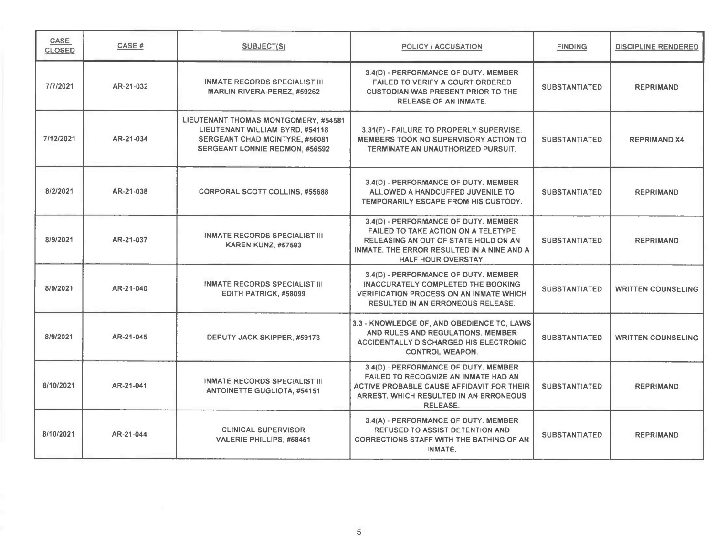| CASE<br><b>CLOSED</b> | CASE#     | <b>SUBJECT(S)</b>                                                                                                                                  | POLICY / ACCUSATION                                                                                                                                                                                    | <b>FINDING</b>       | <b>DISCIPLINE RENDERED</b> |
|-----------------------|-----------|----------------------------------------------------------------------------------------------------------------------------------------------------|--------------------------------------------------------------------------------------------------------------------------------------------------------------------------------------------------------|----------------------|----------------------------|
| 7/7/2021              | AR-21-032 | <b>INMATE RECORDS SPECIALIST III</b><br><b>MARLIN RIVERA-PEREZ, #59262</b>                                                                         | 3.4(D) - PERFORMANCE OF DUTY. MEMBER<br><b>FAILED TO VERIFY A COURT ORDERED</b><br><b>CUSTODIAN WAS PRESENT PRIOR TO THE</b><br><b>RELEASE OF AN INMATE.</b>                                           | <b>SUBSTANTIATED</b> | <b>REPRIMAND</b>           |
| 7/12/2021             | AR-21-034 | LIEUTENANT THOMAS MONTGOMERY, #54581<br>LIEUTENANT WILLIAM BYRD, #54118<br>SERGEANT CHAD MCINTYRE, #56081<br><b>SERGEANT LONNIE REDMON, #56592</b> | 3.31(F) - FAILURE TO PROPERLY SUPERVISE.<br>MEMBERS TOOK NO SUPERVISORY ACTION TO<br>TERMINATE AN UNAUTHORIZED PURSUIT.                                                                                | <b>SUBSTANTIATED</b> | <b>REPRIMAND X4</b>        |
| 8/2/2021              | AR-21-038 | <b>CORPORAL SCOTT COLLINS, #55688</b>                                                                                                              | 3.4(D) - PERFORMANCE OF DUTY. MEMBER<br>ALLOWED A HANDCUFFED JUVENILE TO<br>TEMPORARILY ESCAPE FROM HIS CUSTODY.                                                                                       | <b>SUBSTANTIATED</b> | <b>REPRIMAND</b>           |
| 8/9/2021              | AR-21-037 | <b>INMATE RECORDS SPECIALIST III</b><br><b>KAREN KUNZ, #57593</b>                                                                                  | 3.4(D) - PERFORMANCE OF DUTY. MEMBER<br><b>FAILED TO TAKE ACTION ON A TELETYPE</b><br>RELEASING AN OUT OF STATE HOLD ON AN<br>INMATE. THE ERROR RESULTED IN A NINE AND A<br><b>HALF HOUR OVERSTAY.</b> | <b>SUBSTANTIATED</b> | <b>REPRIMAND</b>           |
| 8/9/2021              | AR-21-040 | <b>INMATE RECORDS SPECIALIST III</b><br>EDITH PATRICK, #58099                                                                                      | 3.4(D) - PERFORMANCE OF DUTY. MEMBER<br><b>INACCURATELY COMPLETED THE BOOKING</b><br><b>VERIFICATION PROCESS ON AN INMATE WHICH</b><br><b>RESULTED IN AN ERRONEOUS RELEASE.</b>                        | <b>SUBSTANTIATED</b> | <b>WRITTEN COUNSELING</b>  |
| 8/9/2021              | AR-21-045 | <b>DEPUTY JACK SKIPPER, #59173</b>                                                                                                                 | 3.3 - KNOWLEDGE OF, AND OBEDIENCE TO, LAWS<br>AND RULES AND REGULATIONS. MEMBER<br><b>ACCIDENTALLY DISCHARGED HIS ELECTRONIC</b><br><b>CONTROL WEAPON.</b>                                             | <b>SUBSTANTIATED</b> | <b>WRITTEN COUNSELING</b>  |
| 8/10/2021             | AR-21-041 | <b>INMATE RECORDS SPECIALIST III</b><br><b>ANTOINETTE GUGLIOTA, #54151</b>                                                                         | 3.4(D) - PERFORMANCE OF DUTY. MEMBER<br>FAILED TO RECOGNIZE AN INMATE HAD AN<br>ACTIVE PROBABLE CAUSE AFFIDAVIT FOR THEIR<br>ARREST, WHICH RESULTED IN AN ERRONEOUS<br><b>RELEASE.</b>                 | <b>SUBSTANTIATED</b> | <b>REPRIMAND</b>           |
| 8/10/2021             | AR-21-044 | <b>CLINICAL SUPERVISOR</b><br><b>VALERIE PHILLIPS, #58451</b>                                                                                      | 3.4(A) - PERFORMANCE OF DUTY. MEMBER<br><b>REFUSED TO ASSIST DETENTION AND</b><br><b>CORRECTIONS STAFF WITH THE BATHING OF AN</b><br>INMATE.                                                           | <b>SUBSTANTIATED</b> | <b>REPRIMAND</b>           |